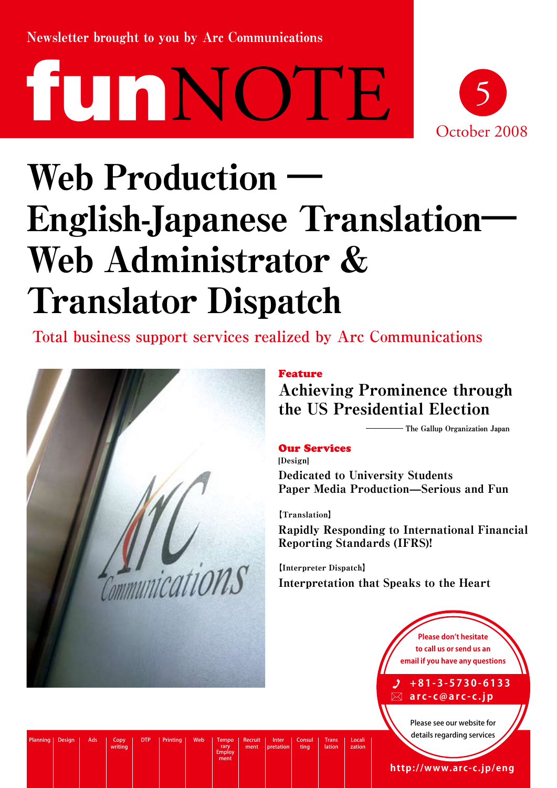Newsletter brought to you by Arc Communications





# Web Production English-Japanese Translation― Web Administrator & Translator Dispatch

**Total business support services realized by Arc Communications**



DTP Printing Web Tempo rary Employ ment

Recruit ment

Inter pretation Consul ting

Trans lation

Locali zation

Planning Design Ads Copy<br>writing

## Feature

Achieving Prominence through the US Presidential Election

The Gallup Organization Japan

## Our Services

[Design] Dedicated to University Students Paper Media Production—Serious and Fun

【Translation】 Rapidly Responding to International Financial Reporting Standards (IFRS)!

【Interpreter Dispatch】 Interpretation that Speaks to the Heart

> **Please don't hesitate to call us or send us an email if you have any questions**

**+ 8 1 - 3 - 5 7 3 0 - 6 1 3 3 a r c - c @ a r c - c . j p**

Please see our website for details regarding services

**http://www.arc-c.jp/eng**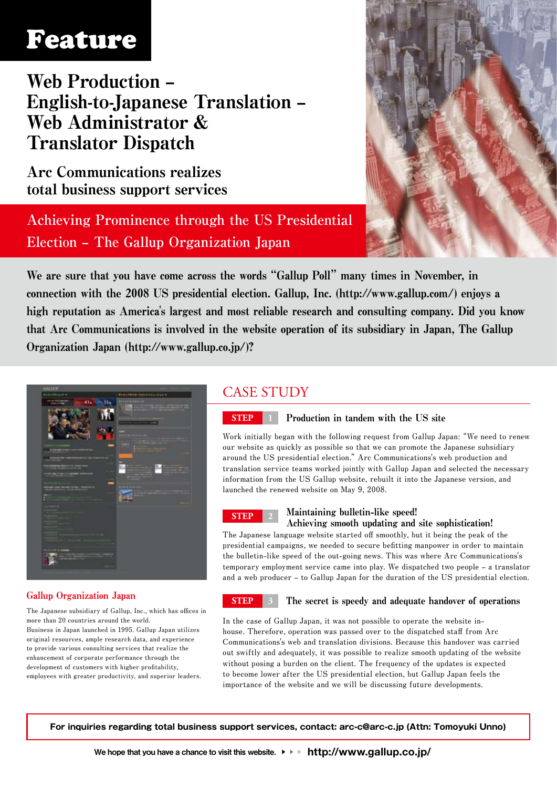## Feature

Web Production – English-to-Japanese Translation – Web Administrator & Translator Dispatch

Arc Communications realizes total business support services

**Achieving Prominence through the US Presidential Election – The Gallup Organization Japan**



We are sure that you have come across the words "Gallup Poll" many times in November, in connection with the 2008 US presidential election. Gallup, Inc. (http://www.gallup.com/) enjoys a high reputation as America's largest and most reliable research and consulting company. Did you know that Arc Communications is involved in the website operation of its subsidiary in Japan, The Gallup Organization Japan (http://www.gallup.co.jp/)?



## Gallup Organization Japan

**The Japanese subsidiary of Gallup, Inc., which has offices in more than 20 countries around the world. Business in Japan launched in 1995. Gallup Japan utilizes original resources, ample research data, and experience to provide various consulting services that realize the enhancement of corporate performance through the development of customers with higher profitability, employees with greater productivity, and superior leaders.**

## CASE STUDY



## **STEP 1** Production in tandem with the US site

**Work initially began with the following request from Gallup Japan: "We need to renew our website as quickly as possible so that we can promote the Japanese subsidiary around the US presidential election." Arc Communications's web production and translation service teams worked jointly with Gallup Japan and selected the necessary information from the US Gallup website, rebuilt it into the Japanese version, and launched the renewed website on May 9, 2008.**



### **STEP <sup>2</sup>** Maintaining bulletin-like speed! Achieving smooth updating and site sophistication!

**The Japanese language website started off smoothly, but it being the peak of the presidential campaigns, we needed to secure befitting manpower in order to maintain the bulletin-like speed of the out-going news. This was where Arc Communications's temporary employment service came into play. We dispatched two people – a translator and a web producer – to Gallup Japan for the duration of the US presidential election.**

### **STEP 3** The secret is speedy and adequate handover of operations

**In the case of Gallup Japan, it was not possible to operate the website inhouse. Therefore, operation was passed over to the dispatched staff from Arc Communications's web and translation divisions. Because this handover was carried out swiftly and adequately, it was possible to realize smooth updating of the website without posing a burden on the client. The frequency of the updates is expected to become lower after the US presidential election, but Gallup Japan feels the importance of the website and we will be discussing future developments.** 

**For inquiries regarding total business support services, contact: arc-c@arc-c.jp (Attn: Tomoyuki Unno)**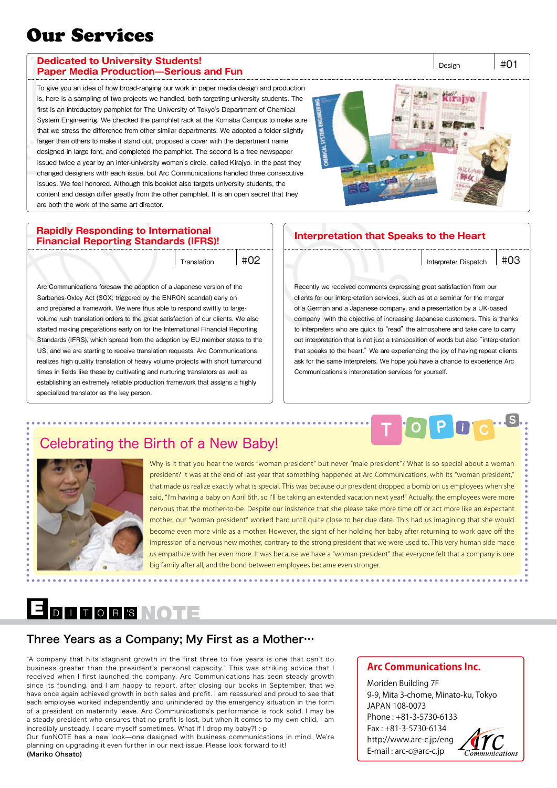## Our Services

#### **Dedicated to University Students! Paper Media Production—Serious and Fun**

To give you an idea of how broad-ranging our work in paper media design and production is, here is a sampling of two projects we handled, both targeting university students. The first is an introductory pamphlet for The University of Tokyo's Department of Chemical System Engineering. We checked the pamphlet rack at the Komaba Campus to make sure that we stress the difference from other similar departments. We adopted a folder slightly larger than others to make it stand out, proposed a cover with the department name designed in large font, and completed the pamphlet. The second is a free newspaper issued twice a year by an inter-university women's circle, called Kirajyo. In the past they changed designers with each issue, but Arc Communications handled three consecutive issues. We feel honored. Although this booklet also targets university students, the content and design differ greatly from the other pamphlet. It is an open secret that they are both the work of the same art director.



### **Rapidly Responding to International Financial Reporting Standards (IFRS)! Interpretation that Speaks to the Heart**

Arc Communications foresaw the adoption of a Japanese version of the Sarbanes-Oxley Act (SOX; triggered by the ENRON scandal) early on and prepared a framework. We were thus able to respond swiftly to largevolume rush translation orders to the great satisfaction of our clients. We also started making preparations early on for the International Financial Reporting Standards (IFRS), which spread from the adoption by EU member states to the US, and we are starting to receive translation requests. Arc Communications realizes high quality translation of heavy volume projects with short turnaround times in fields like these by cultivating and nurturing translators as well as establishing an extremely reliable production framework that assigns a highly specialized translator as the key person.

Translation  $\#02$  |  $\#03$ 

**T <sup>O</sup> <sup>P</sup> <sup>i</sup> <sup>C</sup> <sup>S</sup>**

Recently we received comments expressing great satisfaction from our clients for our interpretation services, such as at a seminar for the merger of a German and a Japanese company, and a presentation by a UK-based company with the objective of increasing Japanese customers. This is thanks to interpreters who are quick to "read" the atmosphere and take care to carry out interpretation that is not just a transposition of words but also "interpretation that speaks to the heart." We are experiencing the joy of having repeat clients ask for the same interpreters. We hope you have a chance to experience Arc Communications's interpretation services for yourself.

## Celebrating the Birth of a New Baby!



Why is it that you hear the words "woman president" but never "male president"? What is so special about a woman president? It was at the end of last year that something happened at Arc Communications, with its "woman president," that made us realize exactly what is special. This was because our president dropped a bomb on us employees when she said, "I'm having a baby on April 6th, so I'll be taking an extended vacation next year!" Actually, the employees were more nervous that the mother-to-be. Despite our insistence that she please take more time off or act more like an expectant mother, our "woman president" worked hard until quite close to her due date. This had us imagining that she would become even more virile as a mother. However, the sight of her holding her baby after returning to work gave off the impression of a nervous new mother, contrary to the strong president that we were used to. This very human side made us empathize with her even more. It was because we have a "woman president" that everyone felt that a company is one big family after all, and the bond between employees became even stronger.

\*\*\*\*\*\*\*\*\*\*\*\*\*\*

## E DI TORS NOTE

. . . . . . . . . . . . . . . .

## Three Years as a Company; My First as a Mother…

"A company that hits stagnant growth in the first three to five years is one that can't do business greater than the president's personal capacity." This was striking advice that I received when I first launched the company. Arc Communications has seen steady growth since its founding, and I am happy to report, after closing our books in September, that we have once again achieved growth in both sales and profit. I am reassured and proud to see that each employee worked independently and unhindered by the emergency situation in the form of a president on maternity leave. Arc Communications's performance is rock solid. I may be a steady president who ensures that no profit is lost, but when it comes to my own child, I am incredibly unsteady. I scare myself sometimes. What if I drop my baby?! :-p

Our funNOTE has a new look—one designed with business communications in mind. We're planning on upgrading it even further in our next issue. Please look forward to it! (Mariko Ohsato)

## **Arc Communications Inc.**

Moriden Building 7F 9-9, Mita 3-chome, Minato-ku, Tokyo JAPAN 108-0073 Phone : +81-3-5730-6133 Fax : +81-3-5730-6134 http://www.arc-c.jp/eng E-mail : arc-c@arc-c.jp



Design  $|#01$